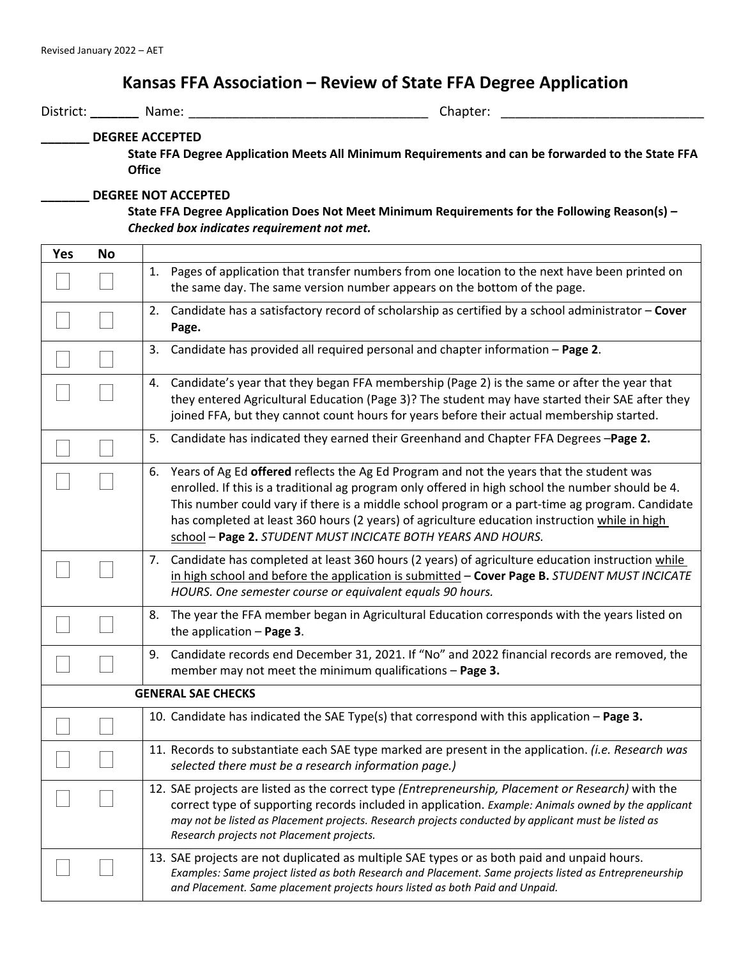## **Kansas FFA Association – Review of State FFA Degree Application**

District: **\_\_\_\_\_\_\_** Name: \_\_\_\_\_\_\_\_\_\_\_\_\_\_\_\_\_\_\_\_\_\_\_\_\_\_\_\_\_\_\_\_\_ Chapter: \_\_\_\_\_\_\_\_\_\_\_\_\_\_\_\_\_\_\_\_\_\_\_\_\_\_\_\_

## **\_\_\_\_\_\_\_ DEGREE ACCEPTED**

**State FFA Degree Application Meets All Minimum Requirements and can be forwarded to the State FFA Office**

## **\_\_\_\_\_\_\_ DEGREE NOT ACCEPTED**

**State FFA Degree Application Does Not Meet Minimum Requirements for the Following Reason(s)** *– Checked box indicates requirement not met.*

| <b>Yes</b>                | <b>No</b> |                                                                                                                                                                                                                                                                                                                                                                                                                                                                         |  |
|---------------------------|-----------|-------------------------------------------------------------------------------------------------------------------------------------------------------------------------------------------------------------------------------------------------------------------------------------------------------------------------------------------------------------------------------------------------------------------------------------------------------------------------|--|
|                           |           | Pages of application that transfer numbers from one location to the next have been printed on<br>1.<br>the same day. The same version number appears on the bottom of the page.                                                                                                                                                                                                                                                                                         |  |
|                           |           | Candidate has a satisfactory record of scholarship as certified by a school administrator - Cover<br>2.<br>Page.                                                                                                                                                                                                                                                                                                                                                        |  |
|                           |           | Candidate has provided all required personal and chapter information - Page 2.<br>3.                                                                                                                                                                                                                                                                                                                                                                                    |  |
|                           |           | Candidate's year that they began FFA membership (Page 2) is the same or after the year that<br>4.<br>they entered Agricultural Education (Page 3)? The student may have started their SAE after they<br>joined FFA, but they cannot count hours for years before their actual membership started.                                                                                                                                                                       |  |
|                           |           | 5.<br>Candidate has indicated they earned their Greenhand and Chapter FFA Degrees -Page 2.                                                                                                                                                                                                                                                                                                                                                                              |  |
|                           |           | Years of Ag Ed offered reflects the Ag Ed Program and not the years that the student was<br>6.<br>enrolled. If this is a traditional ag program only offered in high school the number should be 4.<br>This number could vary if there is a middle school program or a part-time ag program. Candidate<br>has completed at least 360 hours (2 years) of agriculture education instruction while in high<br>school - Page 2. STUDENT MUST INCICATE BOTH YEARS AND HOURS. |  |
|                           |           | Candidate has completed at least 360 hours (2 years) of agriculture education instruction while<br>7.<br>in high school and before the application is submitted - Cover Page B. STUDENT MUST INCICATE<br>HOURS. One semester course or equivalent equals 90 hours.                                                                                                                                                                                                      |  |
|                           |           | The year the FFA member began in Agricultural Education corresponds with the years listed on<br>8.<br>the application $-$ Page 3.                                                                                                                                                                                                                                                                                                                                       |  |
|                           |           | Candidate records end December 31, 2021. If "No" and 2022 financial records are removed, the<br>9.<br>member may not meet the minimum qualifications - Page 3.                                                                                                                                                                                                                                                                                                          |  |
| <b>GENERAL SAE CHECKS</b> |           |                                                                                                                                                                                                                                                                                                                                                                                                                                                                         |  |
|                           |           | 10. Candidate has indicated the SAE Type(s) that correspond with this application - Page 3.                                                                                                                                                                                                                                                                                                                                                                             |  |
|                           |           | 11. Records to substantiate each SAE type marked are present in the application. (i.e. Research was<br>selected there must be a research information page.)                                                                                                                                                                                                                                                                                                             |  |
|                           |           | 12. SAE projects are listed as the correct type (Entrepreneurship, Placement or Research) with the<br>correct type of supporting records included in application. Example: Animals owned by the applicant<br>may not be listed as Placement projects. Research projects conducted by applicant must be listed as<br>Research projects not Placement projects.                                                                                                           |  |
|                           |           | 13. SAE projects are not duplicated as multiple SAE types or as both paid and unpaid hours.<br>Examples: Same project listed as both Research and Placement. Same projects listed as Entrepreneurship<br>and Placement. Same placement projects hours listed as both Paid and Unpaid.                                                                                                                                                                                   |  |